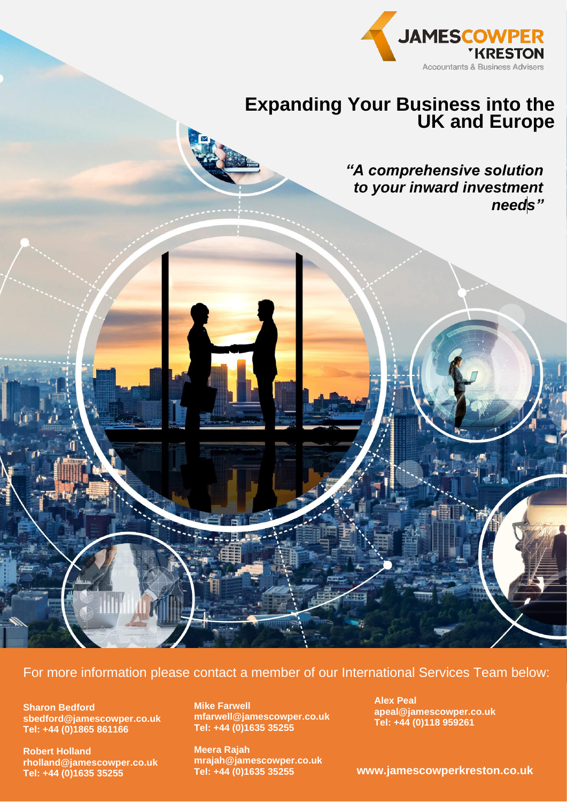

# **Expanding Your Business into the UK and Europe**

*"A comprehensive solution to your inward investment needs"*



**Sharon Bedford sbedford@jamescowper.co.uk Tel: +44 (0)1865 861166**

**Robert Holland rholland@jamescowper.co.uk Tel: +44 (0)1635 35255**

**Mike Farwell mfarwell@jamescowper.co.uk Tel: +44 (0)1635 35255**

**Meera Rajah mrajah@jamescowper.co.uk Tel: +44 (0)1635 35255**

**Alex Peal apeal@jamescowper.co.uk Tel: +44 (0)118 959261**

**www.jamescowperkreston.co.uk**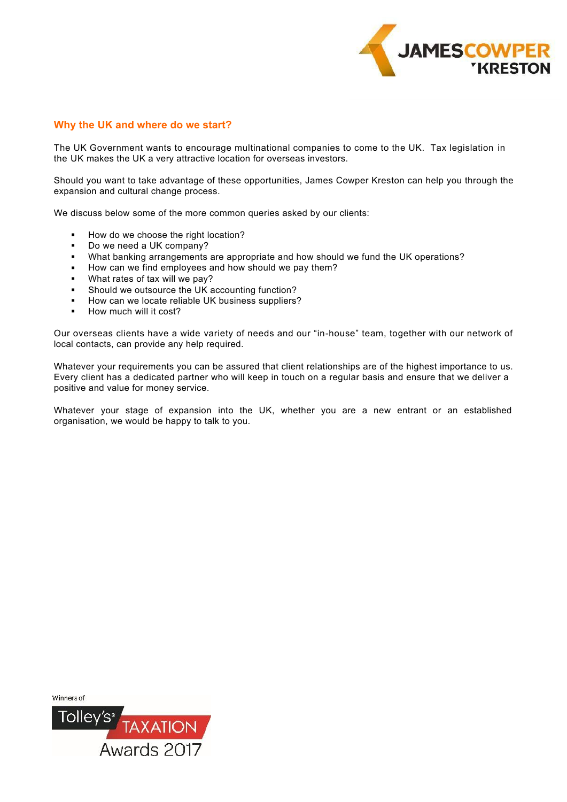

# **Why the UK and where do we start?**

The UK Government wants to encourage multinational companies to come to the UK. Tax legislation in the UK makes the UK a very attractive location for overseas investors.

Should you want to take advantage of these opportunities, James Cowper Kreston can help you through the expansion and cultural change process.

We discuss below some of the more common queries asked by our clients:

- How do we choose the right location? .
- Do we need a UK company?  $\blacksquare$
- What banking arrangements are appropriate and how should we fund the UK operations?  $\blacksquare$
- How can we find employees and how should we pay them?  $\mathbf{r}$
- What rates of tax will we pay?  $\blacksquare$
- Should we outsource the UK accounting function?  $\blacksquare$
- How can we locate reliable UK business suppliers?  $\blacksquare$
- How much will it cost?  $\blacksquare$

Our overseas clients have a wide variety of needs and our "in-house" team, together with our network of local contacts, can provide any help required.

Whatever your requirements you can be assured that client relationships are of the highest importance to us. Every client has a dedicated partner who will keep in touch on a regular basis and ensure that we deliver a positive and value for money service.

Whatever your stage of expansion into the UK, whether you are a new entrant or an established organisation, we would be happy to talk to you.

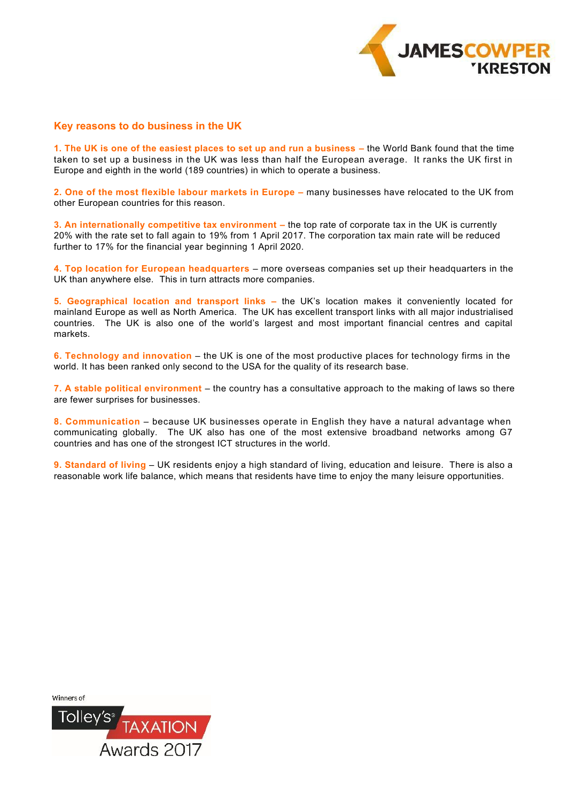

# **Key reasons to do business in the UK**

**1. The UK is one of the easiest places to set up and run a business –** the World Bank found that the time taken to set up a business in the UK was less than half the European average. It ranks the UK first in Europe and eighth in the world (189 countries) in which to operate a business.

**2. One of the most flexible labour markets in Europe –** many businesses have relocated to the UK from other European countries for this reason.

**3. An internationally competitive tax environment –** the top rate of corporate tax in the UK is currently 20% with the rate set to fall again to 19% from 1 April 2017. The corporation tax main rate will be reduced further to 17% for the financial year beginning 1 April 2020.

**4. Top location for European headquarters** – more overseas companies set up their headquarters in the UK than anywhere else.This in turn attracts more companies.

**5. Geographical location and transport links –** the UK's location makes it conveniently located for mainland Europe as well as North America. The UK has excellent transport links with all major industrialised countries. The UK is also one of the world's largest and most important financial centres and capital markets.

**6. Technology and innovation** – the UK is one of the most productive places for technology firms in the world. It has been ranked only second to the USA for the quality of its research base.

**7. A stable political environment** – the country has a consultative approach to the making of laws so there are fewer surprises for businesses.

**8. Communication** – because UK businesses operate in English they have a natural advantage when communicating globally. The UK also has one of the most extensive broadband networks among G7 countries and has one of the strongest ICT structures in the world.

**9. Standard of living** – UK residents enjoy a high standard of living, education and leisure. There is also a reasonable work life balance, which means that residents have time to enjoy the many leisure opportunities.

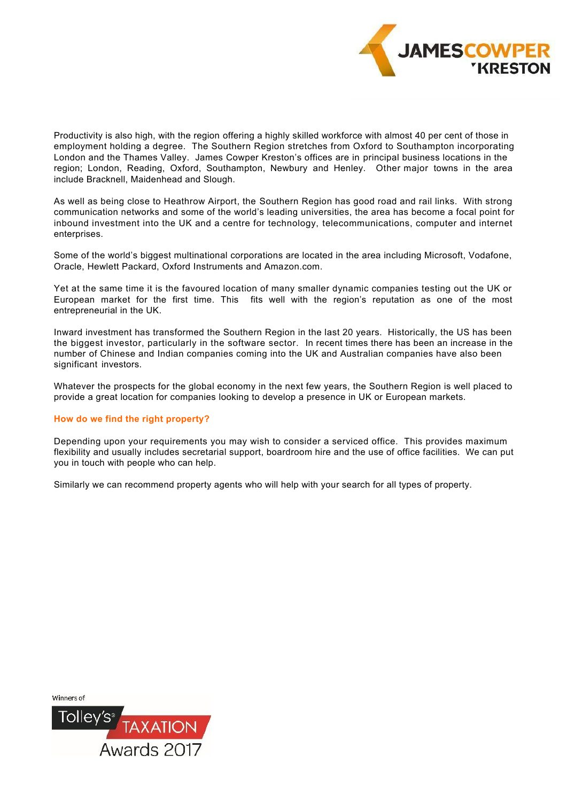

Productivity is also high, with the region offering a highly skilled workforce with almost 40 per cent of those in employment holding a degree. The Southern Region stretches from Oxford to Southampton incorporating London and the Thames Valley. James Cowper Kreston's offices are in principal business locations in the region; London, Reading, Oxford, Southampton, Newbury and Henley. Other major towns in the area include Bracknell, Maidenhead and Slough.

As well as being close to Heathrow Airport, the Southern Region has good road and rail links. With strong communication networks and some of the world's leading universities, the area has become a focal point for inbound investment into the UK and a centre for technology, telecommunications, computer and internet enterprises.

Some of the world's biggest multinational corporations are located in the area including Microsoft, Vodafone, Oracle, Hewlett Packard, Oxford Instruments and Amazon.com.

Yet at the same time it is the favoured location of many smaller dynamic companies testing out the UK or European market for the first time. This fits well with the region's reputation as one of the most entrepreneurial in the UK.

Inward investment has transformed the Southern Region in the last 20 years. Historically, the US has been the biggest investor, particularly in the software sector. In recent times there has been an increase in the number of Chinese and Indian companies coming into the UK and Australian companies have also been significant investors.

Whatever the prospects for the global economy in the next few years, the Southern Region is well placed to provide a great location for companies looking to develop a presence in UK or European markets.

## **How do we find the right property?**

Depending upon your requirements you may wish to consider a serviced office. This provides maximum flexibility and usually includes secretarial support, boardroom hire and the use of office facilities. We can put you in touch with people who can help.

Similarly we can recommend property agents who will help with your search for all types of property.

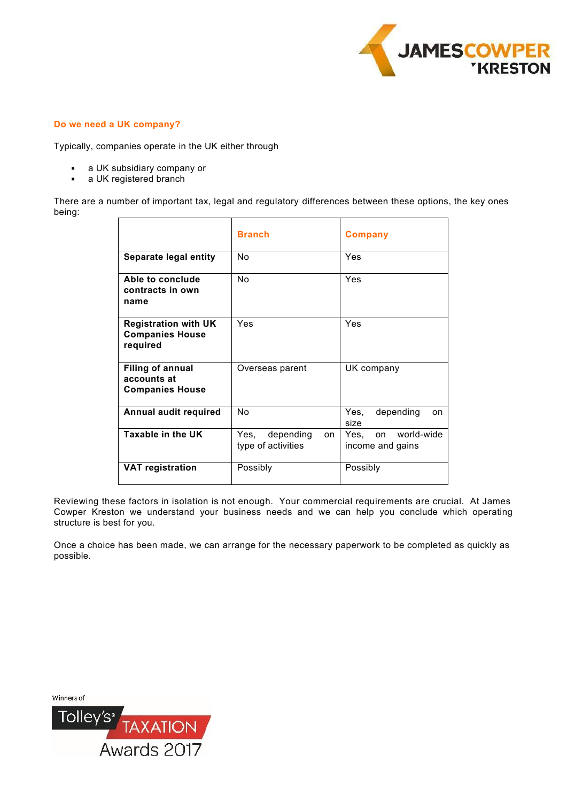

## **Do we need a UK company?**

Typically, companies operate in the UK either through

- a UK subsidiary company or  $\blacksquare$
- a UK registered branch  $\blacksquare$

There are a number of important tax, legal and regulatory differences between these options, the key ones being:

|                                                                   | <b>Branch</b>                                  | Company                                   |
|-------------------------------------------------------------------|------------------------------------------------|-------------------------------------------|
| Separate legal entity                                             | No                                             | Yes                                       |
| Able to conclude<br>contracts in own<br>name                      | No                                             | Yes                                       |
| <b>Registration with UK</b><br><b>Companies House</b><br>required | Yes                                            | Yes                                       |
| <b>Filing of annual</b><br>accounts at<br><b>Companies House</b>  | Overseas parent                                | UK company                                |
| Annual audit required                                             | No                                             | depending<br>Yes,<br>on<br>size           |
| Taxable in the UK                                                 | depending<br>Yes.<br>on.<br>type of activities | on world-wide<br>Yes.<br>income and gains |
| <b>VAT registration</b>                                           | Possibly                                       | Possibly                                  |

Reviewing these factors in isolation is not enough. Your commercial requirements are crucial. At James Cowper Kreston we understand your business needs and we can help you conclude which operating structure is best for you.

Once a choice has been made, we can arrange for the necessary paperwork to be completed as quickly as possible.

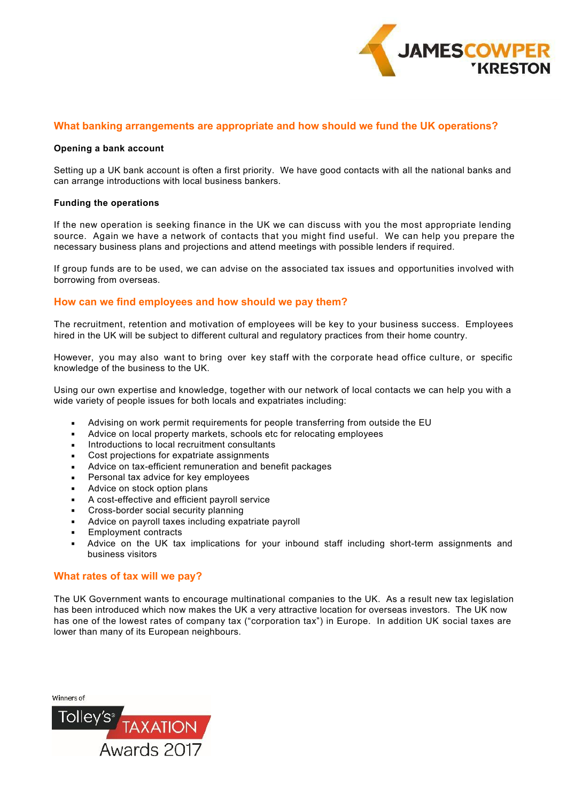

# **What banking arrangements are appropriate and how should we fund the UK operations?**

#### **Opening a bank account**

Setting up a UK bank account is often a first priority. We have good contacts with all the national banks and can arrange introductions with local business bankers.

#### **Funding the operations**

If the new operation is seeking finance in the UK we can discuss with you the most appropriate lending source. Again we have a network of contacts that you might find useful. We can help you prepare the necessary business plans and projections and attend meetings with possible lenders if required.

If group funds are to be used, we can advise on the associated tax issues and opportunities involved with borrowing from overseas.

## **How can we find employees and how should we pay them?**

The recruitment, retention and motivation of employees will be key to your business success. Employees hired in the UK will be subject to different cultural and regulatory practices from their home country.

However, you may also want to bring over key staff with the corporate head office culture, or specific knowledge of the business to the UK.

Using our own expertise and knowledge, together with our network of local contacts we can help you with a wide variety of people issues for both locals and expatriates including:

- Advising on work permit requirements for people transferring from outside the EU  $\blacksquare$
- Advice on local property markets, schools etc for relocating employees  $\blacksquare$
- Introductions to local recruitment consultants  $\blacksquare$
- Cost projections for expatriate assignments  $\blacksquare$
- Advice on tax-efficient remuneration and benefit packages  $\blacksquare$
- Personal tax advice for key employees .
- Advice on stock option plans  $\overline{a}$
- A cost-effective and efficient payroll service .
- Cross-border social security planning .
- Advice on payroll taxes including expatriate payroll .
- Employment contracts .
- Advice on the UK tax implications for your inbound staff including short-term assignments and business visitors .

#### **What rates of tax will we pay?**

The UK Government wants to encourage multinational companies to the UK. As a result new tax legislation has been introduced which now makes the UK a very attractive location for overseas investors. The UK now has one of the lowest rates of company tax ("corporation tax") in Europe. In addition UK social taxes are lower than many of its European neighbours.

| Winners of    |             |
|---------------|-------------|
| <b>Tolley</b> | XAY<br>TO   |
|               | Awards 2017 |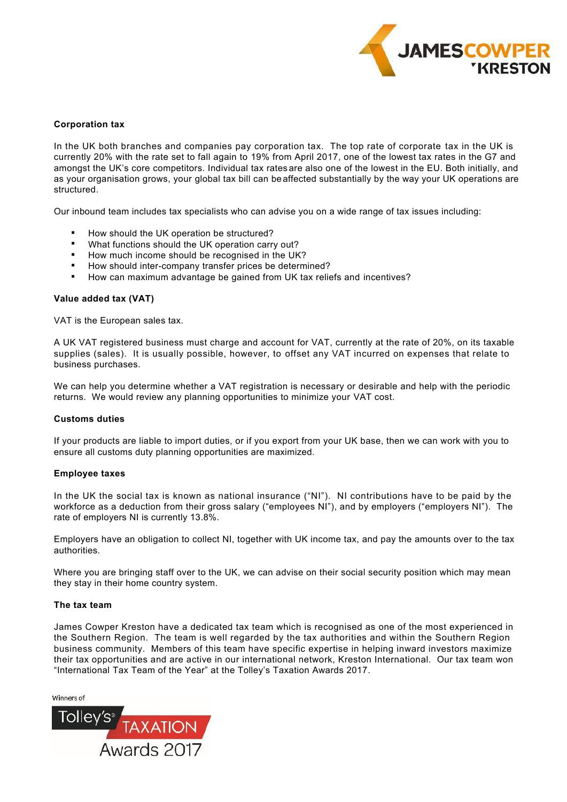

#### **Corporation tax**

In the UK both branches and companies pay corporation tax. The top rate of corporate tax in the UK is currently 20% with the rate set to fall again to 19% from April 2017, one of the lowest tax rates in the G7 and amongst the UK's core competitors. Individual tax rates are also one of the lowest in the EU. Both initially, and as your organisation grows, your global tax bill can beaffected substantially by the way your UK operations are structured.

Our inbound team includes tax specialists who can advise you on a wide range of tax issues including:

- How should the UK operation be structured? .
- What functions should the UK operation carry out? .
- How much income should be recognised in the UK?  $\blacksquare$
- How should inter-company transfer prices be determined? .
- How can maximum advantage be gained from UK tax reliefs and incentives? .

#### **Value added tax (VAT)**

VAT is the European sales tax.

A UK VAT registered business must charge and account for VAT, currently at the rate of 20%, on its taxable supplies (sales). It is usually possible, however, to offset any VAT incurred on expenses that relate to business purchases.

We can help you determine whether a VAT registration is necessary or desirable and help with the periodic returns. We would review any planning opportunities to minimize your VAT cost.

#### **Customs duties**

If your products are liable to import duties, or if you export from your UK base, then we can work with you to ensure all customs duty planning opportunities are maximized.

#### **Employee taxes**

In the UK the social tax is known as national insurance ("NI"). NI contributions have to be paid by the workforce as a deduction from their gross salary ("employees NI"), and by employers ("employers NI"). The rate of employers NI is currently 13.8%.

Employers have an obligation to collect NI, together with UK income tax, and pay the amounts over to the tax authorities.

Where you are bringing staff over to the UK, we can advise on their social security position which may mean they stay in their home country system.

#### **The tax team**

James Cowper Kreston have a dedicated tax team which is recognised as one of the most experienced in the Southern Region. The team is well regarded by the tax authorities and within the Southern Region business community. Members of this team have specific expertise in helping inward investors maximize their tax opportunities and are active in our international network, Kreston International. Our tax team won "International Tax Team of the Year" at the Tolley's Taxation Awards 2017.

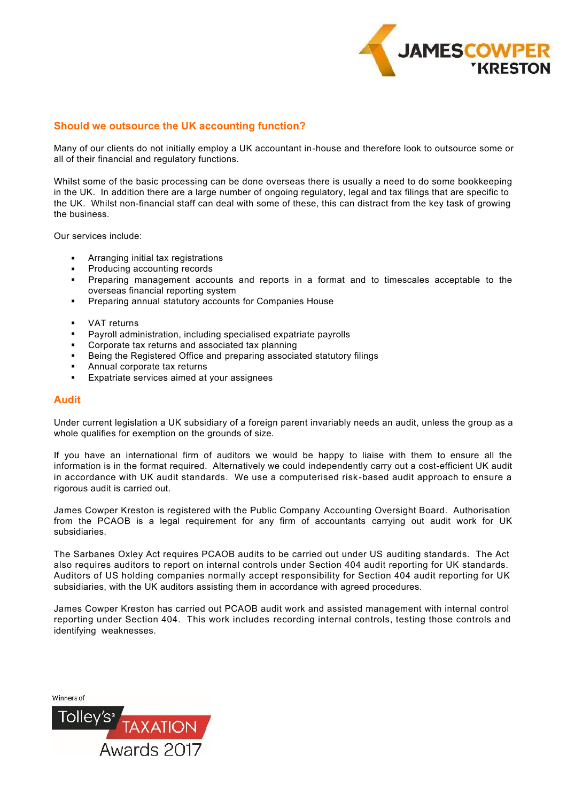

# **Should we outsource the UK accounting function?**

Many of our clients do not initially employ a UK accountant in-house and therefore look to outsource some or all of their financial and regulatory functions.

Whilst some of the basic processing can be done overseas there is usually a need to do some bookkeeping in the UK. In addition there are a large number of ongoing regulatory, legal and tax filings that are specific to the UK. Whilst non-financial staff can deal with some of these, this can distract from the key task of growing the business.

Our services include:

- Arranging initial tax registrations .
- Producing accounting records  $\blacksquare$
- Preparing management accounts and reports in a format and to timescales acceptable to the overseas financial reporting system  $\blacksquare$
- **Preparing annual statutory accounts for Companies House**
- VAT returns  $\blacksquare$
- Payroll administration, including specialised expatriate payrolls  $\blacksquare$
- Corporate tax returns and associated tax planning L.
- Being the Registered Office and preparing associated statutory filings ä,
- Annual corporate tax returns .
- Expatriate services aimed at your assignees .

#### **Audit**

Under current legislation a UK subsidiary of a foreign parent invariably needs an audit, unless the group as a whole qualifies for exemption on the grounds of size.

If you have an international firm of auditors we would be happy to liaise with them to ensure all the information is in the format required. Alternatively we could independently carry out a cost-efficient UK audit in accordance with UK audit standards. We use a computerised risk-based audit approach to ensure a rigorous audit is carried out.

James Cowper Kreston is registered with the Public Company Accounting Oversight Board. Authorisation from the PCAOB is a legal requirement for any firm of accountants carrying out audit work for UK subsidiaries.

The Sarbanes Oxley Act requires PCAOB audits to be carried out under US auditing standards. The Act also requires auditors to report on internal controls under Section 404 audit reporting for UK standards. Auditors of US holding companies normally accept responsibility for Section 404 audit reporting for UK subsidiaries, with the UK auditors assisting them in accordance with agreed procedures.

James Cowper Kreston has carried out PCAOB audit work and assisted management with internal control reporting under Section 404. This work includes recording internal controls, testing those controls and identifying weaknesses.

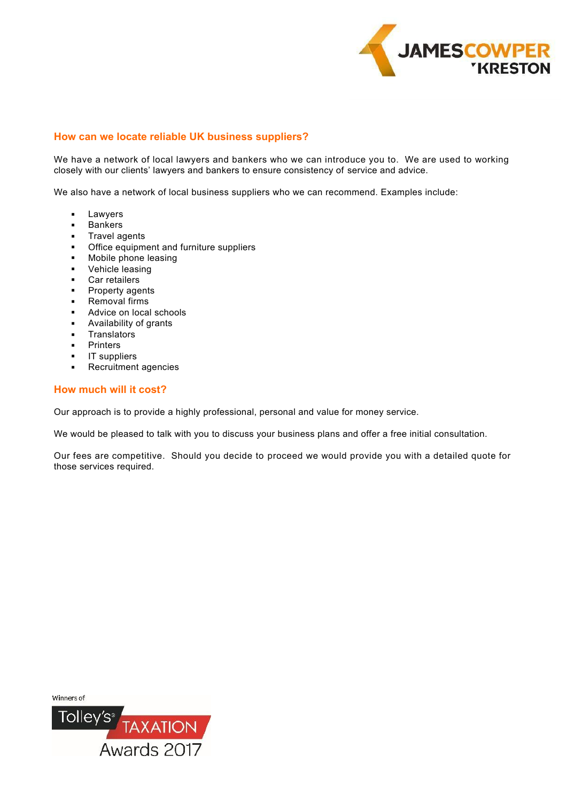

# **How can we locate reliable UK business suppliers?**

We have a network of local lawyers and bankers who we can introduce you to. We are used to working closely with our clients' lawyers and bankers to ensure consistency of service and advice.

We also have a network of local business suppliers who we can recommend. Examples include:

- Lawyers  $\blacksquare$
- Bankers  $\blacksquare$
- Travel agents  $\mathbf{r}$
- **Office equipment and furniture suppliers**
- Mobile phone leasing  $\blacksquare$
- Vehicle leasing  $\blacksquare$
- Car retailers  $\blacksquare$
- Property agents  $\blacksquare$
- Removal firms  $\sim$
- **Advice on local schools**
- Availability of grants  $\blacksquare$
- **Translators** .
- Printers .
- IT suppliers  $\blacksquare$
- Recruitment agencies  $\mathbf{r}$  .

## **How much will it cost?**

Our approach is to provide a highly professional, personal and value for money service.

We would be pleased to talk with you to discuss your business plans and offer a free initial consultation.

Our fees are competitive. Should you decide to proceed we would provide you with a detailed quote for those services required.

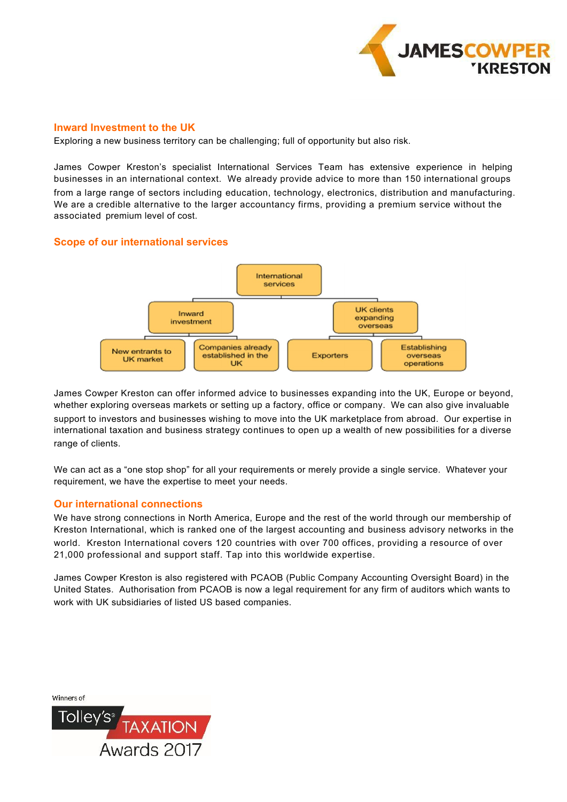

## **Inward Investment to the UK**

Exploring a new business territory can be challenging; full of opportunity but also risk.

James Cowper Kreston's specialist International Services Team has extensive experience in helping businesses in an international context. We already provide advice to more than 150 international groups from a large range of sectors including education, technology, electronics, distribution and manufacturing. We are a credible alternative to the larger accountancy firms, providing a premium service without the associated premium level of cost.

# **Scope of our international services**



James Cowper Kreston can offer informed advice to businesses expanding into the UK, Europe or beyond, whether exploring overseas markets or setting up a factory, office or company. We can also give invaluable support to investors and businesses wishing to move into the UK marketplace from abroad. Our expertise in international taxation and business strategy continues to open up a wealth of new possibilities for a diverse range of clients.

We can act as a "one stop shop" for all your requirements or merely provide a single service. Whatever your requirement, we have the expertise to meet your needs.

# **Our international connections**

We have strong connections in North America, Europe and the rest of the world through our membership of Kreston International, which is ranked one of the largest accounting and business advisory networks in the world. Kreston International covers 120 countries with over 700 offices, providing a resource of over 21,000 professional and support staff. Tap into this worldwide expertise.

James Cowper Kreston is also registered with PCAOB (Public Company Accounting Oversight Board) in the United States. Authorisation from PCAOB is now a legal requirement for any firm of auditors which wants to work with UK subsidiaries of listed US based companies.